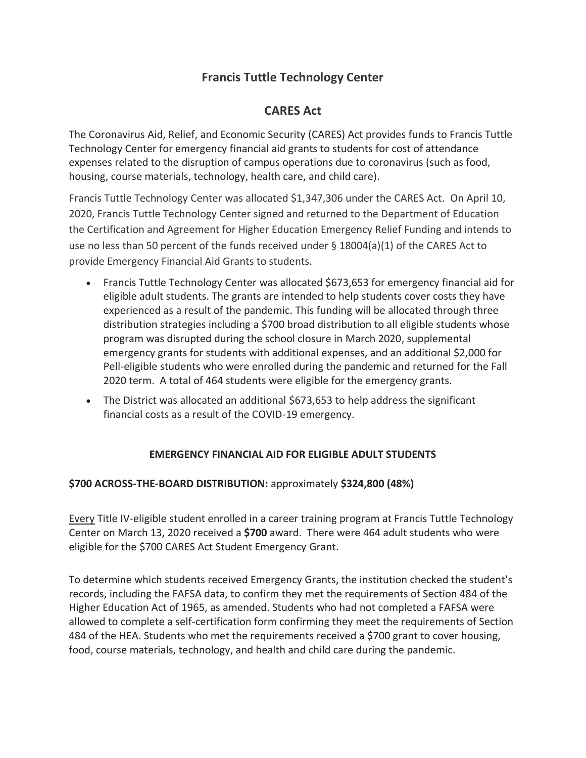## **Francis Tuttle Technology Center**

# **CARES Act**

The Coronavirus Aid, Relief, and Economic Security (CARES) Act provides funds to Francis Tuttle Technology Center for emergency financial aid grants to students for cost of attendance expenses related to the disruption of campus operations due to coronavirus (such as food, housing, course materials, technology, health care, and child care).

Francis Tuttle Technology Center was allocated \$1,347,306 under the CARES Act. On April 10, 2020, Francis Tuttle Technology Center signed and returned to the Department of Education the Certification and Agreement for Higher Education Emergency Relief Funding and intends to use no less than 50 percent of the funds received under  $\S$  18004(a)(1) of the CARES Act to provide Emergency Financial Aid Grants to students.

- Francis Tuttle Technology Center was allocated \$673,653 for emergency financial aid for eligible adult students. The grants are intended to help students cover costs they have experienced as a result of the pandemic. This funding will be allocated through three distribution strategies including a \$700 broad distribution to all eligible students whose program was disrupted during the school closure in March 2020, supplemental emergency grants for students with additional expenses, and an additional \$2,000 for Pell-eligible students who were enrolled during the pandemic and returned for the Fall 2020 term. A total of 464 students were eligible for the emergency grants.
- The District was allocated an additional \$673,653 to help address the significant financial costs as a result of the COVID-19 emergency.

### **EMERGENCY FINANCIAL AID FOR ELIGIBLE ADULT STUDENTS**

### **\$700 ACROSS-THE-BOARD DISTRIBUTION:** approximately **\$324,800 (48%)**

Every Title IV-eligible student enrolled in a career training program at Francis Tuttle Technology Center on March 13, 2020 received a **\$700** award. There were 464 adult students who were eligible for the \$700 CARES Act Student Emergency Grant.

To determine which students received Emergency Grants, the institution checked the student's records, including the FAFSA data, to confirm they met the requirements of Section 484 of the Higher Education Act of 1965, as amended. Students who had not completed a FAFSA were allowed to complete a self-certification form confirming they meet the requirements of Section 484 of the HEA. Students who met the requirements received a \$700 grant to cover housing, food, course materials, technology, and health and child care during the pandemic.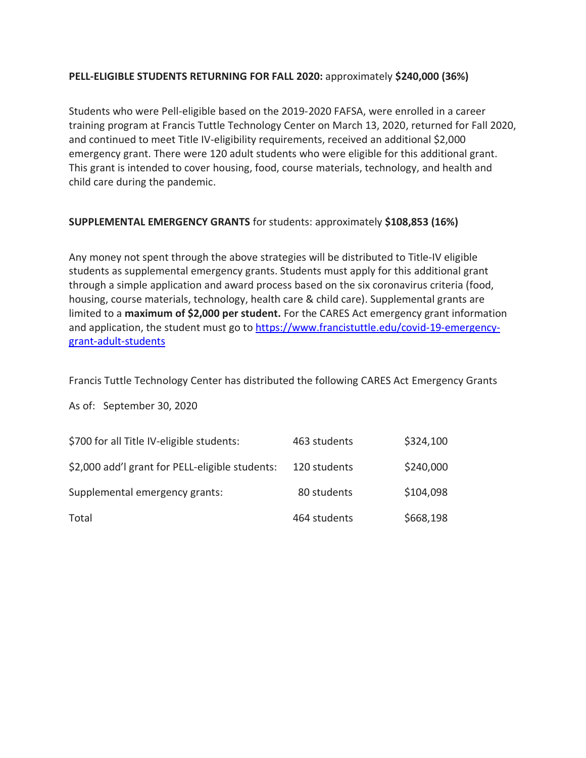#### **PELL-ELIGIBLE STUDENTS RETURNING FOR FALL 2020:** approximately **\$240,000 (36%)**

Students who were Pell-eligible based on the 2019-2020 FAFSA, were enrolled in a career training program at Francis Tuttle Technology Center on March 13, 2020, returned for Fall 2020, and continued to meet Title IV-eligibility requirements, received an additional \$2,000 emergency grant. There were 120 adult students who were eligible for this additional grant. This grant is intended to cover housing, food, course materials, technology, and health and child care during the pandemic.

### **SUPPLEMENTAL EMERGENCY GRANTS** for students: approximately **\$108,853 (16%)**

Any money not spent through the above strategies will be distributed to Title-IV eligible students as supplemental emergency grants. Students must apply for this additional grant through a simple application and award process based on the six coronavirus criteria (food, housing, course materials, technology, health care & child care). Supplemental grants are limited to a **maximum of \$2,000 per student.** For the CARES Act emergency grant information and application, the student must go to [https://www.francistuttle.edu/covid-19-emergency](https://www.francistuttle.edu/covid-19-emergency-grant-adult-students)[grant-adult-students](https://www.francistuttle.edu/covid-19-emergency-grant-adult-students)

Francis Tuttle Technology Center has distributed the following CARES Act Emergency Grants

As of: September 30, 2020

| \$700 for all Title IV-eligible students:       | 463 students | \$324,100 |
|-------------------------------------------------|--------------|-----------|
| \$2,000 add'l grant for PELL-eligible students: | 120 students | \$240,000 |
| Supplemental emergency grants:                  | 80 students  | \$104,098 |
| Total                                           | 464 students | \$668,198 |